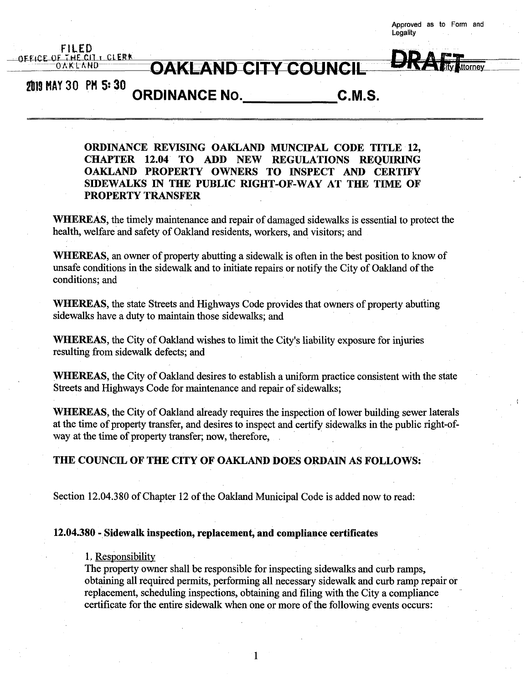**Approved as to Form and Legality**

**ttorney**

# **ai9MAY30 PH 5:30**

FILED **OFFICE OF THE CI1 i ClEff\***

> **ORDINANCE No. C.M.S.**

**ORDINANCE REVISING OAKLAND MUNCIPAL CODE TITLE 12, CHAPTER 12.04 TO ADD NEW REGULATIONS REQUIRING OAKLAND PROPERTY OWNERS TO INSPECT AND CERTIFY SIDEWALKS IN THE PUBLIC RIGHT-OF-WAY AT THE TIME OF PROPERTY TRANSFER**

 $OAKLAND$  **CITY COUNCIL** 

**WHEREAS**, the timely maintenance and repair of damaged sidewalks is essential to protect the health, welfare and safety of Oakland residents, workers, and visitors; and

**WHEREAS,** an owner of property abutting a sidewalk is often in the best position to know of unsafe conditions in the sidewalk and to initiate repairs or notify the City of Oakland of the conditions; and

**WHEREAS**, the state Streets and Highways Code provides that owners of property abutting sidewalks have a duty to maintain those sidewalks; and

**WHEREAS,** the City of Oakland wishes to limit the City's liability exposure for injuries resulting from sidewalk defects; and

**WHEREAS,** the City of Oakland desires to establish a uniform practice consistent with the state Streets and Highways Code for maintenance and repair of sidewalks;

WHEREAS, the City of Oakland already requires the inspection of lower building sewer laterals at the time of property transfer, and desires to inspect and certify sidewalks in the public right-ofway at the time of property transfer; now, therefore,

## **THE COUNCIL OF THE CITY OF OAKLAND DOES ORDAIN AS FOLLOWS:**

Section 12.04.380 of Chapter 12 of the Oakland Municipal Code is added now to read:

### **12.04.380 - Sidewalk inspection, replacement, and compliance certificates**

# 1. Responsibility

The property owner shall be responsible for inspecting sidewalks and curb ramps, obtaining all required permits, performing all necessary sidewalk and curb ramp repair or replacement, scheduling inspections, obtaining and filing with the City a compliance certificate for the entire sidewalk when one or more of the following events occurs: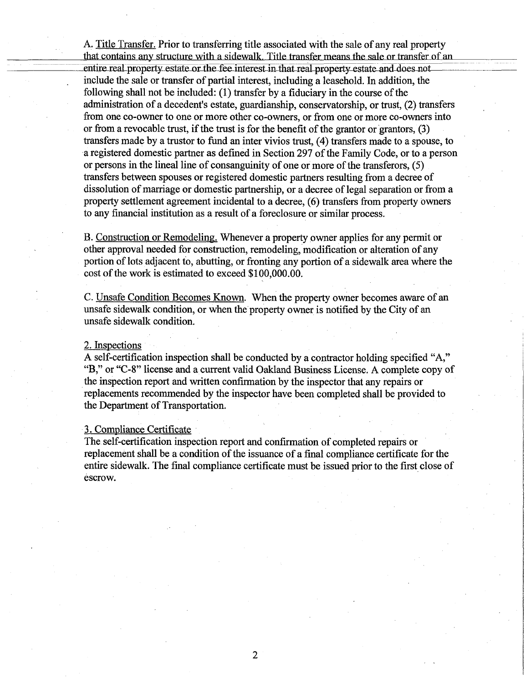A. Title Transfer. Prior to transferring title associated with the sale of any real property that contains any structure with a sidewalk. Title transfer means the sale or transfer of an . entire real property estate or the fee interest in that real property estate and does no include the sale or transfer of partial interest, including a leasehold. In addition, the following shall not be included:  $(1)$  transfer by a fiduciary in the course of the administration of a decedent's estate, guardianship, conservatorship, or trust, (2) transfers from one co-owner to one or more other co-owners, or from one or more co-owners into or from a revocable trust, if the trust is for the benefit of the grantor or grantors,  $(3)$ transfers made by a trustor to fund an inter vivios trust, (4) transfers made to a spouse, to a registered domestic partner as defined in Section 297 of the Family Code, or to a person or persons in the lineal line of consanguinity of one or more ofthe transferors, (5) transfers between spouses or registered domestic partners resulting from a decree of dissolution of marriage or domestic partnership, or a decree of legal separation or from a property settlement agreement incidental to a decree, (6) transfers from property owners to any financial institution as a result of a foreclosure or similar process.

B. Construction or Remodeling. Whenever a property owner applies for any permit or other approval needed for construction, remodeling, modification or alteration of any portion of lots adjacent to, abutting, or fronting any portion of a sidewalk area where the cost of the work is estimated to exceed \$100,000,00.

C. Unsafe Condition Becomes Known. When the property owner becomes aware of an unsafe sidewalk condition, or when the property owner is notified by the City of an unsafe sidewalk condition.

## 2. Inspections

A self-certification inspection shall be conducted by a contractor holding specified "A," "B," or "C-8" license and a current valid Oakland Business License. A complete copy of the inspection report and written confirmation by the inspector that any repairs or replacements recommended by the inspector have been completed shall be provided to the Department of Transportation.

### 3. Compliance Certificate

The self-certification inspection report and confirmation of completed repairs or replacement shall be a condition of the issuance of a final compliance certificate for the entire sidewalk. The final compliance certificate must be issued prior to the first close of escrow.

**2**